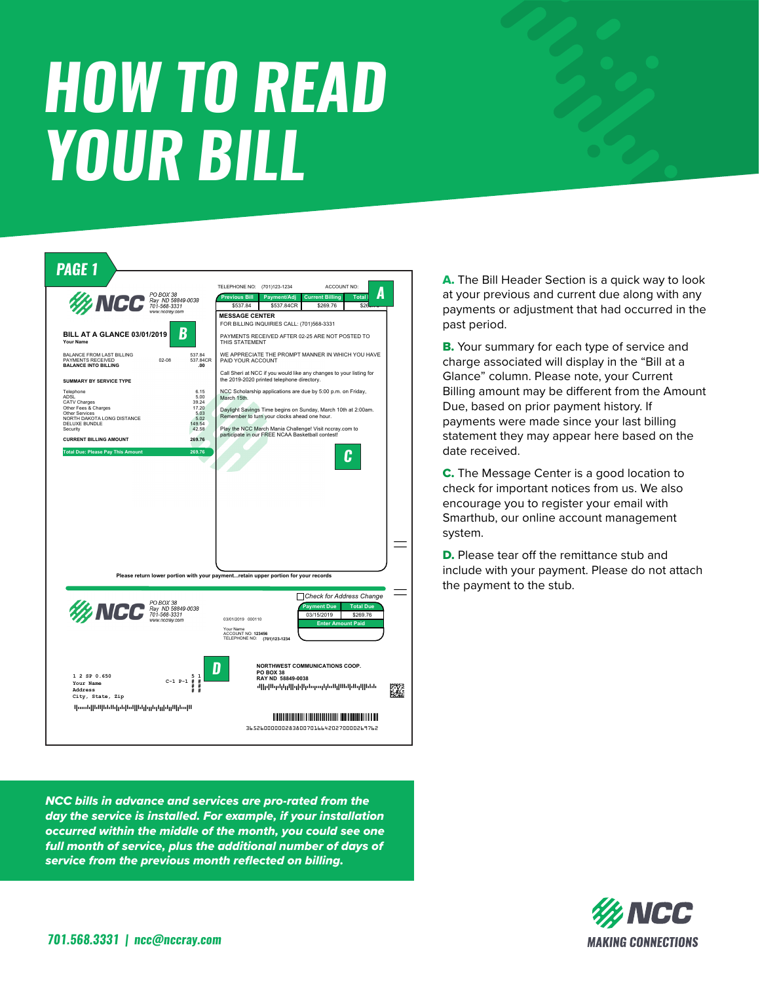## **HOW TO READ YOUR BILL**



NCC bills in advance and services are pro-rated from the day the service is installed. For example, if your installation occurred within the middle of the month, you could see one full month of service, plus the additional number of days of service from the previous month reflected on billing.

A. The Bill Header Section is a quick way to look at your previous and current due along with any payments or adjustment that had occurred in the past period.

B. Your summary for each type of service and charge associated will display in the "Bill at a Glance" column. Please note, your Current Billing amount may be different from the Amount Due, based on prior payment history. If payments were made since your last billing statement they may appear here based on the date received.

C. The Message Center is a good location to check for important notices from us. We also encourage you to register your email with Smarthub, our online account management system.

**D.** Please tear off the remittance stub and include with your payment. Please do not attach the payment to the stub.

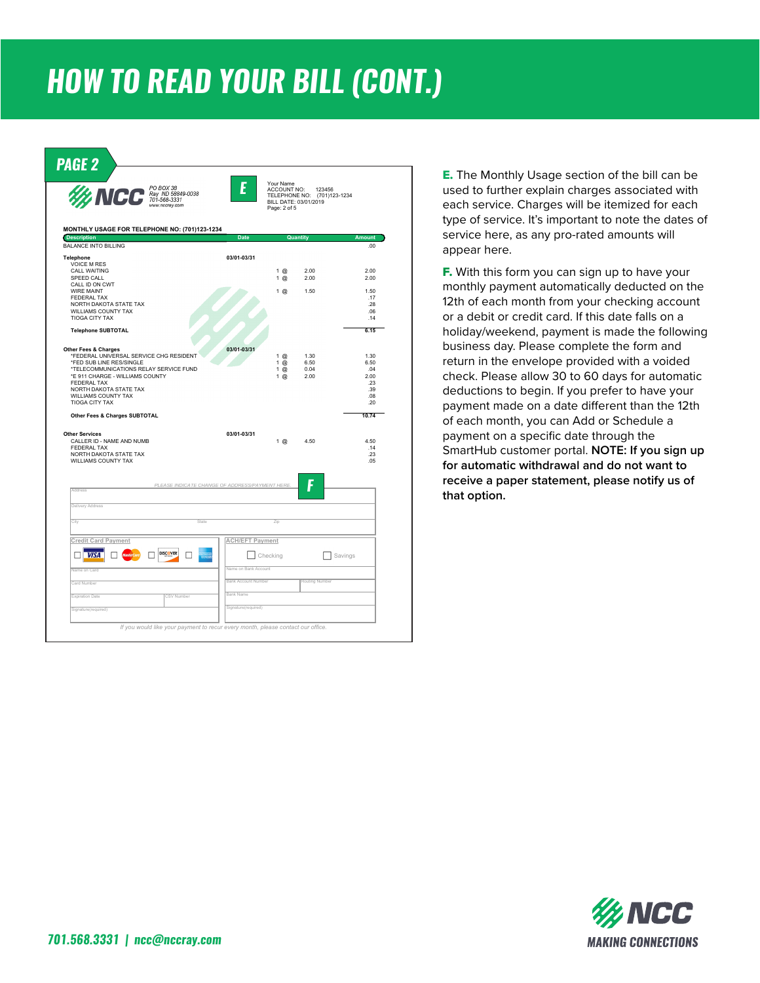## *HOW TO READ YOUR BILL (CONT.)*



E. The Monthly Usage section of the bill can be used to further explain charges associated with each service. Charges will be itemized for each type of service. It's important to note the dates of service here, as any pro-rated amounts will appear here.

**F.** With this form you can sign up to have your monthly payment automatically deducted on the 12th of each month from your checking account or a debit or credit card. If this date falls on a holiday/weekend, payment is made the following business day. Please complete the form and return in the envelope provided with a voided check. Please allow 30 to 60 days for automatic deductions to begin. If you prefer to have your payment made on a date different than the 12th of each month, you can Add or Schedule a payment on a specific date through the SmartHub customer portal. **NOTE: If you sign up for automatic withdrawal and do not want to receive a paper statement, please notify us of that option.**

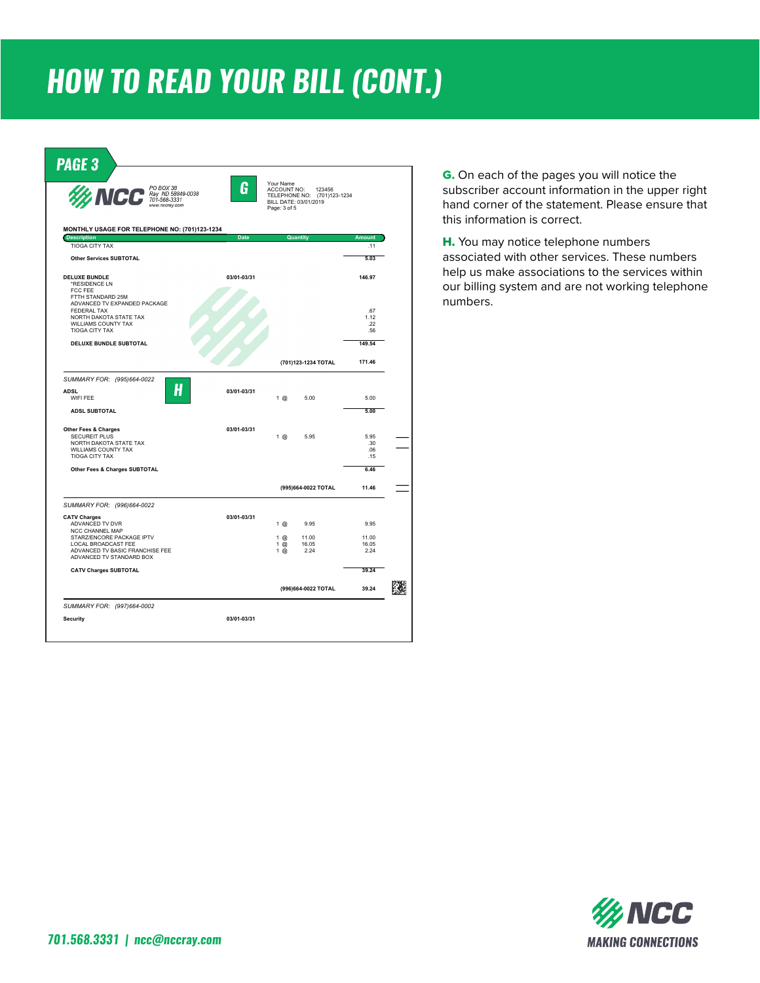## *HOW TO READ YOUR BILL (CONT.)*



G. On each of the pages you will notice the subscriber account information in the upper right hand corner of the statement. Please ensure that this information is correct.

H. You may notice telephone numbers associated with other services. These numbers help us make associations to the services within our billing system and are not working telephone numbers.